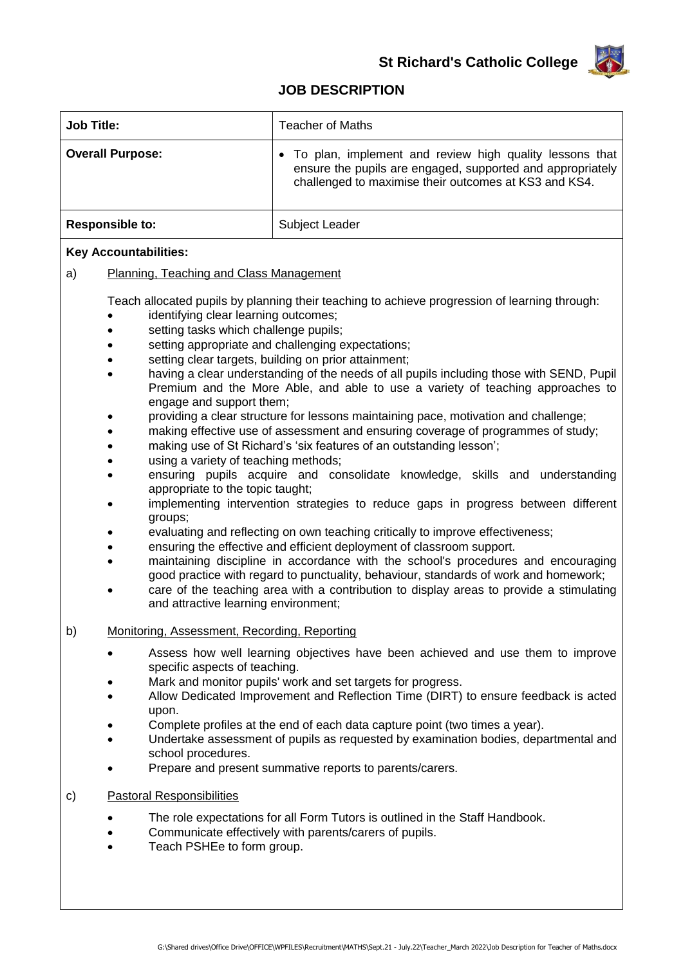

## **JOB DESCRIPTION**

| <b>Job Title:</b>                                                                                                                                                                                                                                                                                                                                                                                                                                                                                                               | Teacher of Maths                                                                                                                                                               |
|---------------------------------------------------------------------------------------------------------------------------------------------------------------------------------------------------------------------------------------------------------------------------------------------------------------------------------------------------------------------------------------------------------------------------------------------------------------------------------------------------------------------------------|--------------------------------------------------------------------------------------------------------------------------------------------------------------------------------|
| <b>Overall Purpose:</b>                                                                                                                                                                                                                                                                                                                                                                                                                                                                                                         | To plan, implement and review high quality lessons that<br>ensure the pupils are engaged, supported and appropriately<br>challenged to maximise their outcomes at KS3 and KS4. |
| <b>Responsible to:</b>                                                                                                                                                                                                                                                                                                                                                                                                                                                                                                          | Subject Leader                                                                                                                                                                 |
| <b>Key Accountabilities:</b>                                                                                                                                                                                                                                                                                                                                                                                                                                                                                                    |                                                                                                                                                                                |
| Planning, Teaching and Class Management<br>a)                                                                                                                                                                                                                                                                                                                                                                                                                                                                                   |                                                                                                                                                                                |
| Teach allocated pupils by planning their teaching to achieve progression of learning through:<br>identifying clear learning outcomes;<br>setting tasks which challenge pupils;<br>setting appropriate and challenging expectations;<br>$\bullet$<br>setting clear targets, building on prior attainment;<br>having a clear understanding of the needs of all pupils including those with SEND, Pupil<br>$\bullet$<br>Premium and the More Able, and able to use a variety of teaching approaches to<br>engage and support them; |                                                                                                                                                                                |

- providing a clear structure for lessons maintaining pace, motivation and challenge;
- making effective use of assessment and ensuring coverage of programmes of study;
- making use of St Richard's 'six features of an outstanding lesson';
- using a variety of teaching methods;
- ensuring pupils acquire and consolidate knowledge, skills and understanding appropriate to the topic taught;
- implementing intervention strategies to reduce gaps in progress between different groups;
- evaluating and reflecting on own teaching critically to improve effectiveness;
- ensuring the effective and efficient deployment of classroom support.
- maintaining discipline in accordance with the school's procedures and encouraging good practice with regard to punctuality, behaviour, standards of work and homework;
- care of the teaching area with a contribution to display areas to provide a stimulating and attractive learning environment;

## b) Monitoring, Assessment, Recording, Reporting

- Assess how well learning objectives have been achieved and use them to improve specific aspects of teaching.
- Mark and monitor pupils' work and set targets for progress.
- Allow Dedicated Improvement and Reflection Time (DIRT) to ensure feedback is acted upon.
- Complete profiles at the end of each data capture point (two times a year).
- Undertake assessment of pupils as requested by examination bodies, departmental and school procedures.
- Prepare and present summative reports to parents/carers.
- c) Pastoral Responsibilities
	- The role expectations for all Form Tutors is outlined in the Staff Handbook.
	- Communicate effectively with parents/carers of pupils.
	- Teach PSHEe to form group.